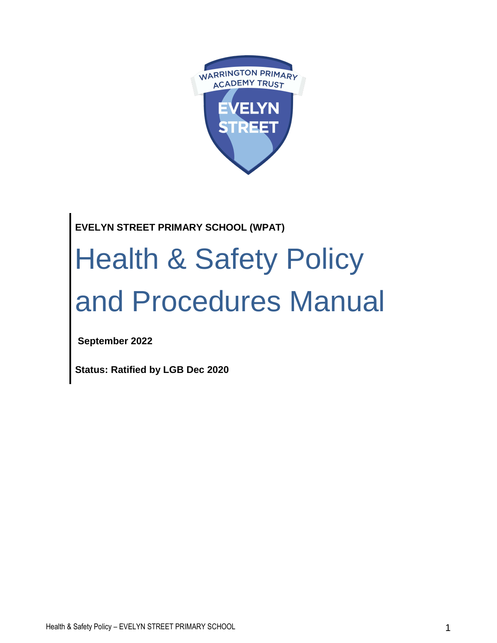

# **EVELYN STREET PRIMARY SCHOOL (WPAT)**

# Health & Safety Policy and Procedures Manual

**September 2022**

**Status: Ratified by LGB Dec 2020**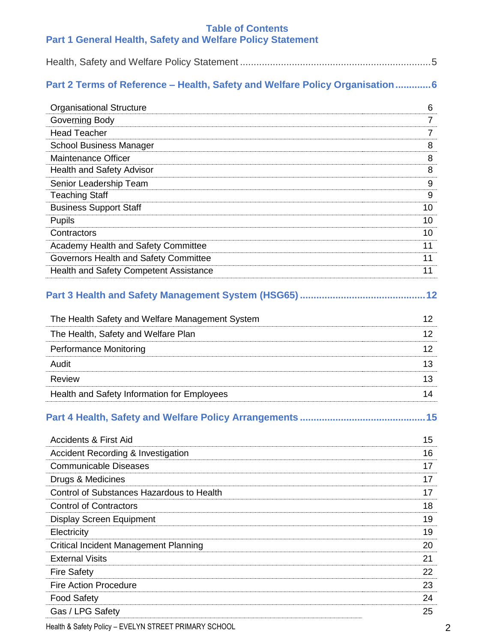## **Table of Contents Part 1 General Health, Safety and Welfare Policy Statement**

|--|

## **Part 2 Terms of Reference – Health, Safety and Welfare Policy Organisation ............. 6**

| <b>Organisational Structure</b>                    | 6  |
|----------------------------------------------------|----|
| Governing Body                                     | 7  |
| <b>Head Teacher</b>                                | 7  |
| <b>School Business Manager</b>                     | 8  |
| Maintenance Officer                                | 8  |
| <b>Health and Safety Advisor</b>                   | 8  |
| Senior Leadership Team                             | 9  |
| <b>Teaching Staff</b>                              | 9  |
| <b>Business Support Staff</b>                      | 10 |
| <b>Pupils</b>                                      | 10 |
| Contractors                                        | 10 |
| Academy Health and Safety Committee                | 11 |
| Governors Health and Safety Committee              | 11 |
| <b>Health and Safety Competent Assistance</b>      | 11 |
| Part 3 Health and Safety Management System (HSG65) | 12 |
| The Health Safety and Welfare Management System    | 12 |
| The Health, Safety and Welfare Plan                | 12 |
| <b>Performance Monitoring</b>                      | 12 |
| Audit                                              | 13 |

| Review                                      |  |
|---------------------------------------------|--|
| Health and Safety Information for Employees |  |

# **Part 4 Health, Safety and Welfare Policy Arrangements ..............................................15**

| Accidents & First Aid                         | 15 |
|-----------------------------------------------|----|
| <b>Accident Recording &amp; Investigation</b> | 16 |
| <b>Communicable Diseases</b>                  | 17 |
| Drugs & Medicines                             | 17 |
| Control of Substances Hazardous to Health     | 17 |
| <b>Control of Contractors</b>                 | 18 |
| <b>Display Screen Equipment</b>               | 19 |
| Electricity                                   | 19 |
| <b>Critical Incident Management Planning</b>  | 20 |
| <b>External Visits</b>                        | 21 |
| <b>Fire Safety</b>                            | 22 |
| <b>Fire Action Procedure</b>                  | 23 |
| <b>Food Safety</b>                            | 24 |
| Gas / LPG Safety                              | 25 |
|                                               |    |

Health & Safety Policy – EVELYN STREET PRIMARY SCHOOL 2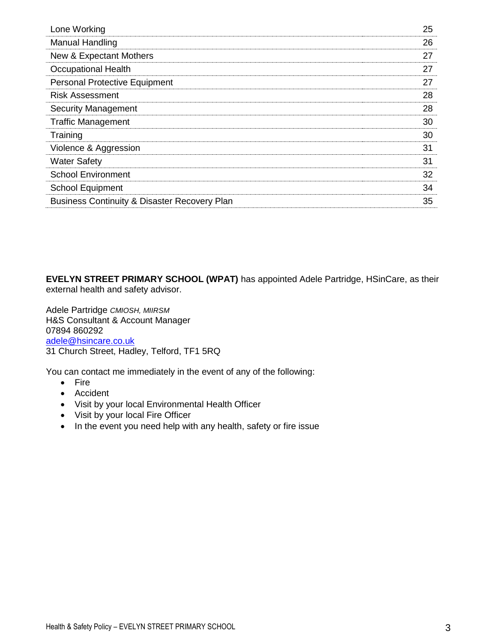| Lone Working                                            | 25 |
|---------------------------------------------------------|----|
| Manual Handling                                         | 26 |
| New & Expectant Mothers                                 | 27 |
| <b>Occupational Health</b>                              | 27 |
| <b>Personal Protective Equipment</b>                    | 27 |
| <b>Risk Assessment</b>                                  | 28 |
| <b>Security Management</b>                              | 28 |
| <b>Traffic Management</b>                               | 30 |
| Training                                                | 30 |
| Violence & Aggression                                   | 31 |
| <b>Water Safety</b>                                     | 31 |
| <b>School Environment</b>                               | 32 |
| <b>School Equipment</b>                                 | 34 |
| <b>Business Continuity &amp; Disaster Recovery Plan</b> | 35 |
|                                                         |    |

**EVELYN STREET PRIMARY SCHOOL (WPAT)** has appointed Adele Partridge, HSinCare, as their external health and safety advisor.

Adele Partridge *CMIOSH, MIIRSM* H&S Consultant & Account Manager 07894 860292 [adele@hsincare.co.uk](mailto:adele@hsincare.co.uk) 31 Church Street, Hadley, Telford, TF1 5RQ

You can contact me immediately in the event of any of the following:

- Fire
- Accident
- Visit by your local Environmental Health Officer
- Visit by your local Fire Officer
- In the event you need help with any health, safety or fire issue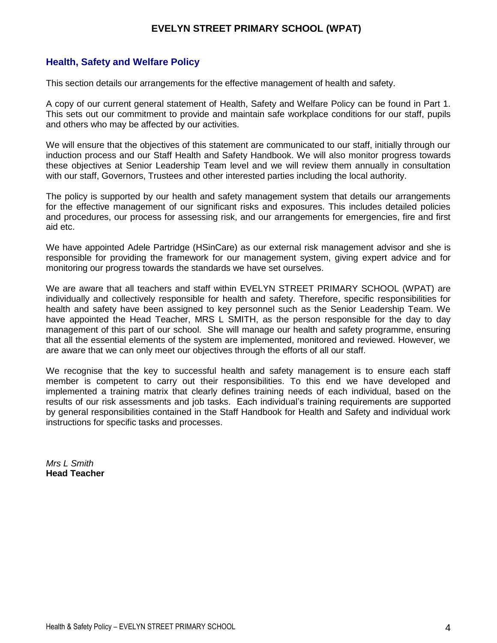## **EVELYN STREET PRIMARY SCHOOL (WPAT)**

## **Health, Safety and Welfare Policy**

This section details our arrangements for the effective management of health and safety.

A copy of our current general statement of Health, Safety and Welfare Policy can be found in Part 1. This sets out our commitment to provide and maintain safe workplace conditions for our staff, pupils and others who may be affected by our activities.

We will ensure that the objectives of this statement are communicated to our staff, initially through our induction process and our Staff Health and Safety Handbook. We will also monitor progress towards these objectives at Senior Leadership Team level and we will review them annually in consultation with our staff, Governors, Trustees and other interested parties including the local authority.

The policy is supported by our health and safety management system that details our arrangements for the effective management of our significant risks and exposures. This includes detailed policies and procedures, our process for assessing risk, and our arrangements for emergencies, fire and first aid etc.

We have appointed Adele Partridge (HSinCare) as our external risk management advisor and she is responsible for providing the framework for our management system, giving expert advice and for monitoring our progress towards the standards we have set ourselves.

We are aware that all teachers and staff within EVELYN STREET PRIMARY SCHOOL (WPAT) are individually and collectively responsible for health and safety. Therefore, specific responsibilities for health and safety have been assigned to key personnel such as the Senior Leadership Team. We have appointed the Head Teacher, MRS L SMITH, as the person responsible for the day to day management of this part of our school. She will manage our health and safety programme, ensuring that all the essential elements of the system are implemented, monitored and reviewed. However, we are aware that we can only meet our objectives through the efforts of all our staff.

We recognise that the key to successful health and safety management is to ensure each staff member is competent to carry out their responsibilities. To this end we have developed and implemented a training matrix that clearly defines training needs of each individual, based on the results of our risk assessments and job tasks. Each individual's training requirements are supported by general responsibilities contained in the Staff Handbook for Health and Safety and individual work instructions for specific tasks and processes.

*Mrs L Smith*  **Head Teacher**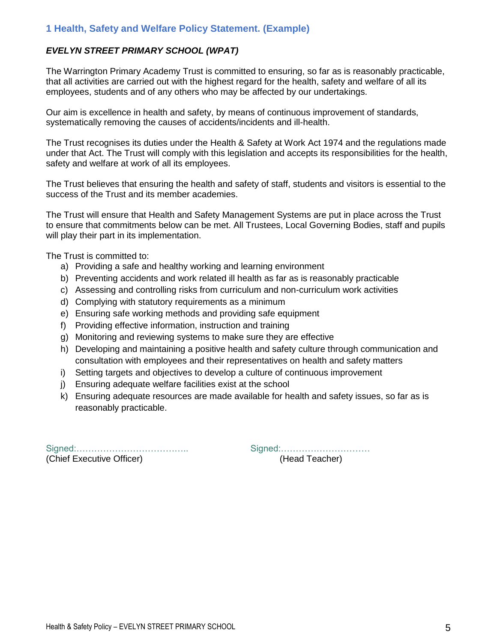## **1 Health, Safety and Welfare Policy Statement. (Example)**

## *EVELYN STREET PRIMARY SCHOOL (WPAT)*

The Warrington Primary Academy Trust is committed to ensuring, so far as is reasonably practicable, that all activities are carried out with the highest regard for the health, safety and welfare of all its employees, students and of any others who may be affected by our undertakings.

Our aim is excellence in health and safety, by means of continuous improvement of standards, systematically removing the causes of accidents/incidents and ill-health.

The Trust recognises its duties under the Health & Safety at Work Act 1974 and the regulations made under that Act. The Trust will comply with this legislation and accepts its responsibilities for the health, safety and welfare at work of all its employees.

The Trust believes that ensuring the health and safety of staff, students and visitors is essential to the success of the Trust and its member academies.

The Trust will ensure that Health and Safety Management Systems are put in place across the Trust to ensure that commitments below can be met. All Trustees, Local Governing Bodies, staff and pupils will play their part in its implementation.

The Trust is committed to:

- a) Providing a safe and healthy working and learning environment
- b) Preventing accidents and work related ill health as far as is reasonably practicable
- c) Assessing and controlling risks from curriculum and non-curriculum work activities
- d) Complying with statutory requirements as a minimum
- e) Ensuring safe working methods and providing safe equipment
- f) Providing effective information, instruction and training
- g) Monitoring and reviewing systems to make sure they are effective
- h) Developing and maintaining a positive health and safety culture through communication and consultation with employees and their representatives on health and safety matters
- i) Setting targets and objectives to develop a culture of continuous improvement
- j) Ensuring adequate welfare facilities exist at the school
- k) Ensuring adequate resources are made available for health and safety issues, so far as is reasonably practicable.

Signed:……………………………….. Signed:………………………… (Chief Executive Officer) (Head Teacher)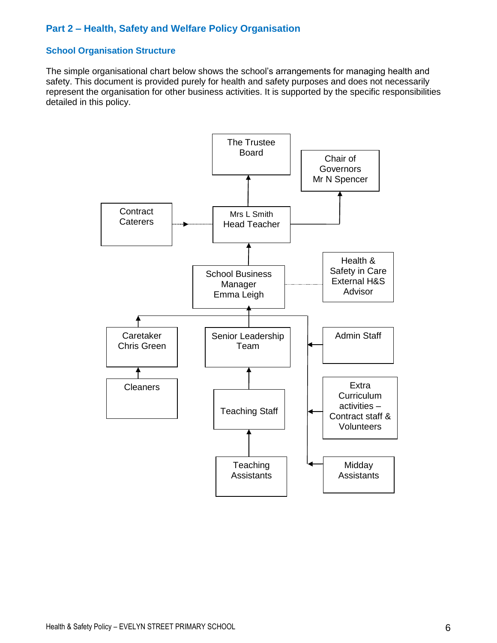## **Part 2 – Health, Safety and Welfare Policy Organisation**

## **School Organisation Structure**

The simple organisational chart below shows the school's arrangements for managing health and safety. This document is provided purely for health and safety purposes and does not necessarily represent the organisation for other business activities. It is supported by the specific responsibilities detailed in this policy.

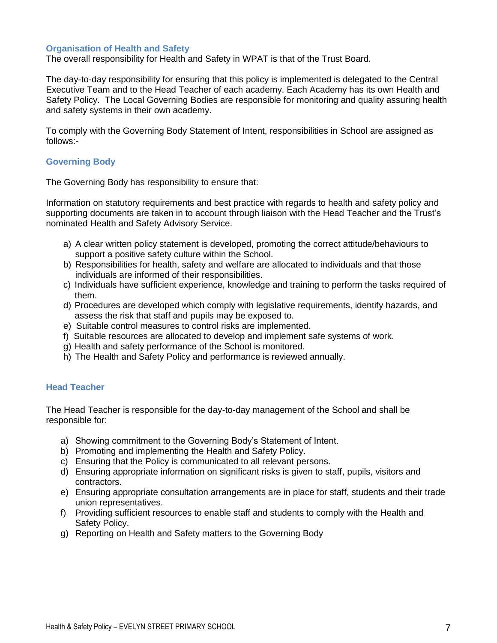#### **Organisation of Health and Safety**

The overall responsibility for Health and Safety in WPAT is that of the Trust Board.

The day-to-day responsibility for ensuring that this policy is implemented is delegated to the Central Executive Team and to the Head Teacher of each academy. Each Academy has its own Health and Safety Policy. The Local Governing Bodies are responsible for monitoring and quality assuring health and safety systems in their own academy.

To comply with the Governing Body Statement of Intent, responsibilities in School are assigned as follows:-

#### **Governing Body**

The Governing Body has responsibility to ensure that:

Information on statutory requirements and best practice with regards to health and safety policy and supporting documents are taken in to account through liaison with the Head Teacher and the Trust's nominated Health and Safety Advisory Service.

- a) A clear written policy statement is developed, promoting the correct attitude/behaviours to support a positive safety culture within the School.
- b) Responsibilities for health, safety and welfare are allocated to individuals and that those individuals are informed of their responsibilities.
- c) Individuals have sufficient experience, knowledge and training to perform the tasks required of them.
- d) Procedures are developed which comply with legislative requirements, identify hazards, and assess the risk that staff and pupils may be exposed to.
- e) Suitable control measures to control risks are implemented.
- f) Suitable resources are allocated to develop and implement safe systems of work.
- g) Health and safety performance of the School is monitored.
- h) The Health and Safety Policy and performance is reviewed annually.

#### **Head Teacher**

The Head Teacher is responsible for the day-to-day management of the School and shall be responsible for:

- a) Showing commitment to the Governing Body's Statement of Intent.
- b) Promoting and implementing the Health and Safety Policy.
- c) Ensuring that the Policy is communicated to all relevant persons.
- d) Ensuring appropriate information on significant risks is given to staff, pupils, visitors and contractors.
- e) Ensuring appropriate consultation arrangements are in place for staff, students and their trade union representatives.
- f) Providing sufficient resources to enable staff and students to comply with the Health and Safety Policy.
- g) Reporting on Health and Safety matters to the Governing Body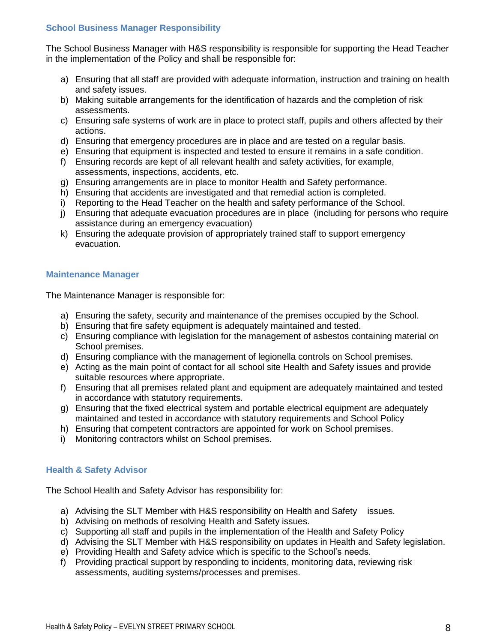#### **School Business Manager Responsibility**

The School Business Manager with H&S responsibility is responsible for supporting the Head Teacher in the implementation of the Policy and shall be responsible for:

- a) Ensuring that all staff are provided with adequate information, instruction and training on health and safety issues.
- b) Making suitable arrangements for the identification of hazards and the completion of risk assessments.
- c) Ensuring safe systems of work are in place to protect staff, pupils and others affected by their actions.
- d) Ensuring that emergency procedures are in place and are tested on a regular basis.
- e) Ensuring that equipment is inspected and tested to ensure it remains in a safe condition.
- f) Ensuring records are kept of all relevant health and safety activities, for example, assessments, inspections, accidents, etc.
- g) Ensuring arrangements are in place to monitor Health and Safety performance.
- h) Ensuring that accidents are investigated and that remedial action is completed.
- i) Reporting to the Head Teacher on the health and safety performance of the School.
- j) Ensuring that adequate evacuation procedures are in place (including for persons who require assistance during an emergency evacuation)
- k) Ensuring the adequate provision of appropriately trained staff to support emergency evacuation.

#### **Maintenance Manager**

The Maintenance Manager is responsible for:

- a) Ensuring the safety, security and maintenance of the premises occupied by the School.
- b) Ensuring that fire safety equipment is adequately maintained and tested.
- c) Ensuring compliance with legislation for the management of asbestos containing material on School premises.
- d) Ensuring compliance with the management of legionella controls on School premises.
- e) Acting as the main point of contact for all school site Health and Safety issues and provide suitable resources where appropriate.
- f) Ensuring that all premises related plant and equipment are adequately maintained and tested in accordance with statutory requirements.
- g) Ensuring that the fixed electrical system and portable electrical equipment are adequately maintained and tested in accordance with statutory requirements and School Policy
- h) Ensuring that competent contractors are appointed for work on School premises.
- i) Monitoring contractors whilst on School premises.

#### **Health & Safety Advisor**

The School Health and Safety Advisor has responsibility for:

- a) Advising the SLT Member with H&S responsibility on Health and Safety issues.
- b) Advising on methods of resolving Health and Safety issues.
- c) Supporting all staff and pupils in the implementation of the Health and Safety Policy
- d) Advising the SLT Member with H&S responsibility on updates in Health and Safety legislation.
- e) Providing Health and Safety advice which is specific to the School's needs.
- f) Providing practical support by responding to incidents, monitoring data, reviewing risk assessments, auditing systems/processes and premises.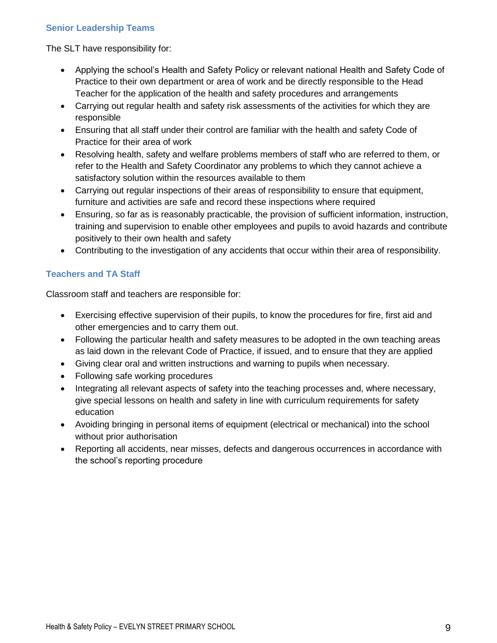## **Senior Leadership Teams**

The SLT have responsibility for:

- Applying the school's Health and Safety Policy or relevant national Health and Safety Code of Practice to their own department or area of work and be directly responsible to the Head Teacher for the application of the health and safety procedures and arrangements
- Carrying out regular health and safety risk assessments of the activities for which they are responsible
- Ensuring that all staff under their control are familiar with the health and safety Code of Practice for their area of work
- Resolving health, safety and welfare problems members of staff who are referred to them, or refer to the Health and Safety Coordinator any problems to which they cannot achieve a satisfactory solution within the resources available to them
- Carrying out regular inspections of their areas of responsibility to ensure that equipment, furniture and activities are safe and record these inspections where required
- Ensuring, so far as is reasonably practicable, the provision of sufficient information, instruction, training and supervision to enable other employees and pupils to avoid hazards and contribute positively to their own health and safety
- Contributing to the investigation of any accidents that occur within their area of responsibility.

## **Teachers and TA Staff**

Classroom staff and teachers are responsible for:

- Exercising effective supervision of their pupils, to know the procedures for fire, first aid and other emergencies and to carry them out.
- Following the particular health and safety measures to be adopted in the own teaching areas as laid down in the relevant Code of Practice, if issued, and to ensure that they are applied
- Giving clear oral and written instructions and warning to pupils when necessary.
- Following safe working procedures
- Integrating all relevant aspects of safety into the teaching processes and, where necessary, give special lessons on health and safety in line with curriculum requirements for safety education
- Avoiding bringing in personal items of equipment (electrical or mechanical) into the school without prior authorisation
- Reporting all accidents, near misses, defects and dangerous occurrences in accordance with the school's reporting procedure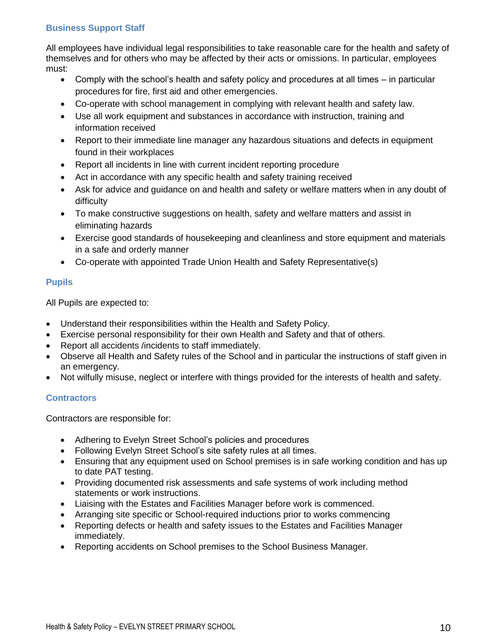## **Business Support Staff**

All employees have individual legal responsibilities to take reasonable care for the health and safety of themselves and for others who may be affected by their acts or omissions. In particular, employees must:

- Comply with the school's health and safety policy and procedures at all times in particular procedures for fire, first aid and other emergencies.
- Co-operate with school management in complying with relevant health and safety law.
- Use all work equipment and substances in accordance with instruction, training and information received
- Report to their immediate line manager any hazardous situations and defects in equipment found in their workplaces
- Report all incidents in line with current incident reporting procedure
- Act in accordance with any specific health and safety training received
- Ask for advice and guidance on and health and safety or welfare matters when in any doubt of difficulty
- To make constructive suggestions on health, safety and welfare matters and assist in eliminating hazards
- Exercise good standards of housekeeping and cleanliness and store equipment and materials in a safe and orderly manner
- Co-operate with appointed Trade Union Health and Safety Representative(s)

## **Pupils**

All Pupils are expected to:

- Understand their responsibilities within the Health and Safety Policy.
- Exercise personal responsibility for their own Health and Safety and that of others.
- Report all accidents /incidents to staff immediately.
- Observe all Health and Safety rules of the School and in particular the instructions of staff given in an emergency.
- Not wilfully misuse, neglect or interfere with things provided for the interests of health and safety.

## **Contractors**

Contractors are responsible for:

- Adhering to Evelyn Street School's policies and procedures
- Following Evelyn Street School's site safety rules at all times.
- Ensuring that any equipment used on School premises is in safe working condition and has up to date PAT testing.
- Providing documented risk assessments and safe systems of work including method statements or work instructions.
- Liaising with the Estates and Facilities Manager before work is commenced.
- Arranging site specific or School-required inductions prior to works commencing
- Reporting defects or health and safety issues to the Estates and Facilities Manager immediately.
- Reporting accidents on School premises to the School Business Manager.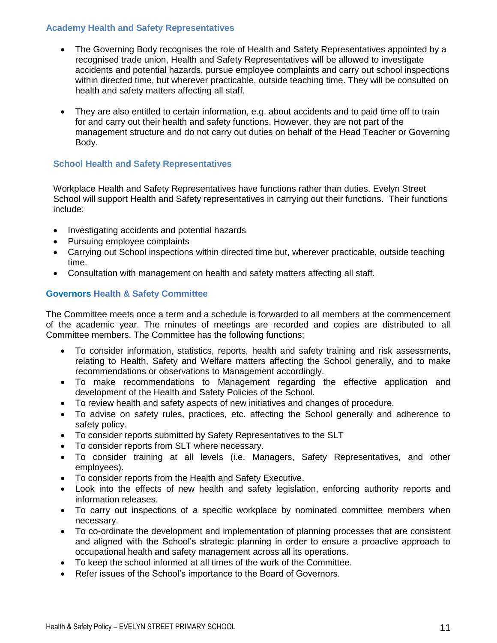#### **Academy Health and Safety Representatives**

- The Governing Body recognises the role of Health and Safety Representatives appointed by a recognised trade union, Health and Safety Representatives will be allowed to investigate accidents and potential hazards, pursue employee complaints and carry out school inspections within directed time, but wherever practicable, outside teaching time. They will be consulted on health and safety matters affecting all staff.
- They are also entitled to certain information, e.g. about accidents and to paid time off to train for and carry out their health and safety functions. However, they are not part of the management structure and do not carry out duties on behalf of the Head Teacher or Governing Body.

## **School Health and Safety Representatives**

Workplace Health and Safety Representatives have functions rather than duties. Evelyn Street School will support Health and Safety representatives in carrying out their functions. Their functions include:

- Investigating accidents and potential hazards
- Pursuing employee complaints
- Carrying out School inspections within directed time but, wherever practicable, outside teaching time.
- Consultation with management on health and safety matters affecting all staff.

#### **Governors Health & Safety Committee**

The Committee meets once a term and a schedule is forwarded to all members at the commencement of the academic year. The minutes of meetings are recorded and copies are distributed to all Committee members. The Committee has the following functions;

- To consider information, statistics, reports, health and safety training and risk assessments, relating to Health, Safety and Welfare matters affecting the School generally, and to make recommendations or observations to Management accordingly.
- To make recommendations to Management regarding the effective application and development of the Health and Safety Policies of the School.
- To review health and safety aspects of new initiatives and changes of procedure.
- To advise on safety rules, practices, etc. affecting the School generally and adherence to safety policy.
- To consider reports submitted by Safety Representatives to the SLT
- To consider reports from SLT where necessary.
- To consider training at all levels (i.e. Managers, Safety Representatives, and other employees).
- To consider reports from the Health and Safety Executive.
- Look into the effects of new health and safety legislation, enforcing authority reports and information releases.
- To carry out inspections of a specific workplace by nominated committee members when necessary.
- To co-ordinate the development and implementation of planning processes that are consistent and aligned with the School's strategic planning in order to ensure a proactive approach to occupational health and safety management across all its operations.
- To keep the school informed at all times of the work of the Committee.
- Refer issues of the School's importance to the Board of Governors.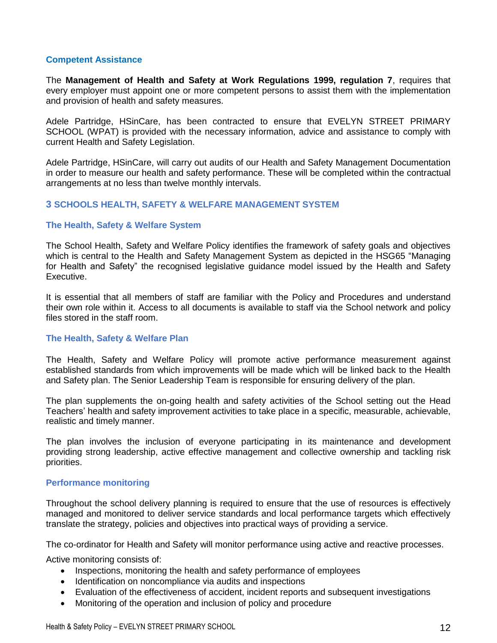#### **Competent Assistance**

The **Management of Health and Safety at Work Regulations 1999, regulation 7**, requires that every employer must appoint one or more competent persons to assist them with the implementation and provision of health and safety measures.

Adele Partridge, HSinCare, has been contracted to ensure that EVELYN STREET PRIMARY SCHOOL (WPAT) is provided with the necessary information, advice and assistance to comply with current Health and Safety Legislation.

Adele Partridge, HSinCare, will carry out audits of our Health and Safety Management Documentation in order to measure our health and safety performance. These will be completed within the contractual arrangements at no less than twelve monthly intervals.

#### **3 SCHOOLS HEALTH, SAFETY & WELFARE MANAGEMENT SYSTEM**

#### **The Health, Safety & Welfare System**

The School Health, Safety and Welfare Policy identifies the framework of safety goals and objectives which is central to the Health and Safety Management System as depicted in the HSG65 "Managing for Health and Safety" the recognised legislative guidance model issued by the Health and Safety Executive.

It is essential that all members of staff are familiar with the Policy and Procedures and understand their own role within it. Access to all documents is available to staff via the School network and policy files stored in the staff room.

#### **The Health, Safety & Welfare Plan**

The Health, Safety and Welfare Policy will promote active performance measurement against established standards from which improvements will be made which will be linked back to the Health and Safety plan. The Senior Leadership Team is responsible for ensuring delivery of the plan.

The plan supplements the on-going health and safety activities of the School setting out the Head Teachers' health and safety improvement activities to take place in a specific, measurable, achievable, realistic and timely manner.

The plan involves the inclusion of everyone participating in its maintenance and development providing strong leadership, active effective management and collective ownership and tackling risk priorities.

#### **Performance monitoring**

Throughout the school delivery planning is required to ensure that the use of resources is effectively managed and monitored to deliver service standards and local performance targets which effectively translate the strategy, policies and objectives into practical ways of providing a service.

The co-ordinator for Health and Safety will monitor performance using active and reactive processes.

Active monitoring consists of:

- Inspections, monitoring the health and safety performance of employees
- Identification on noncompliance via audits and inspections
- Evaluation of the effectiveness of accident, incident reports and subsequent investigations
- Monitoring of the operation and inclusion of policy and procedure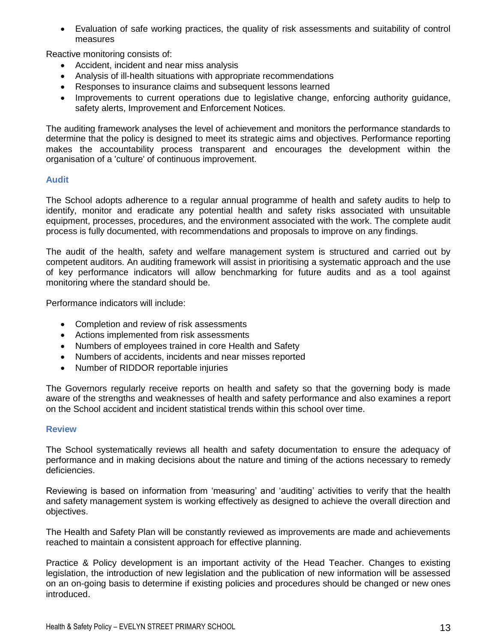Evaluation of safe working practices, the quality of risk assessments and suitability of control measures

Reactive monitoring consists of:

- Accident, incident and near miss analysis
- Analysis of ill-health situations with appropriate recommendations
- Responses to insurance claims and subsequent lessons learned
- Improvements to current operations due to legislative change, enforcing authority guidance, safety alerts, Improvement and Enforcement Notices.

The auditing framework analyses the level of achievement and monitors the performance standards to determine that the policy is designed to meet its strategic aims and objectives. Performance reporting makes the accountability process transparent and encourages the development within the organisation of a 'culture' of continuous improvement.

#### **Audit**

The School adopts adherence to a regular annual programme of health and safety audits to help to identify, monitor and eradicate any potential health and safety risks associated with unsuitable equipment, processes, procedures, and the environment associated with the work. The complete audit process is fully documented, with recommendations and proposals to improve on any findings.

The audit of the health, safety and welfare management system is structured and carried out by competent auditors. An auditing framework will assist in prioritising a systematic approach and the use of key performance indicators will allow benchmarking for future audits and as a tool against monitoring where the standard should be.

Performance indicators will include:

- Completion and review of risk assessments
- Actions implemented from risk assessments
- Numbers of employees trained in core Health and Safety
- Numbers of accidents, incidents and near misses reported
- Number of RIDDOR reportable injuries

The Governors regularly receive reports on health and safety so that the governing body is made aware of the strengths and weaknesses of health and safety performance and also examines a report on the School accident and incident statistical trends within this school over time.

#### **Review**

The School systematically reviews all health and safety documentation to ensure the adequacy of performance and in making decisions about the nature and timing of the actions necessary to remedy deficiencies.

Reviewing is based on information from 'measuring' and 'auditing' activities to verify that the health and safety management system is working effectively as designed to achieve the overall direction and objectives.

The Health and Safety Plan will be constantly reviewed as improvements are made and achievements reached to maintain a consistent approach for effective planning.

Practice & Policy development is an important activity of the Head Teacher. Changes to existing legislation, the introduction of new legislation and the publication of new information will be assessed on an on-going basis to determine if existing policies and procedures should be changed or new ones introduced.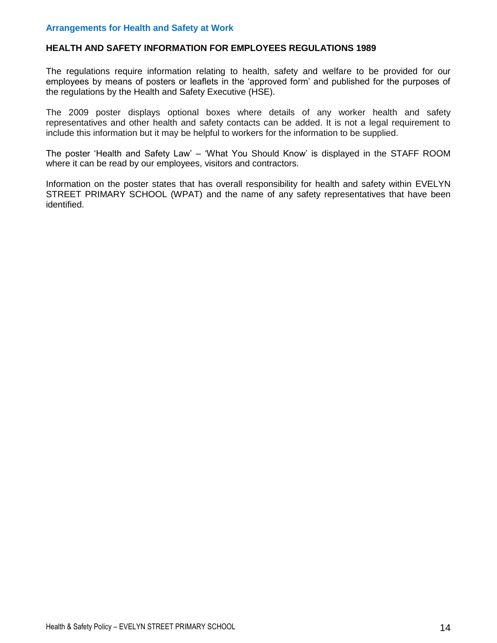#### **HEALTH AND SAFETY INFORMATION FOR EMPLOYEES REGULATIONS 1989**

The regulations require information relating to health, safety and welfare to be provided for our employees by means of posters or leaflets in the 'approved form' and published for the purposes of the regulations by the Health and Safety Executive (HSE).

The 2009 poster displays optional boxes where details of any worker health and safety representatives and other health and safety contacts can be added. It is not a legal requirement to include this information but it may be helpful to workers for the information to be supplied.

The poster 'Health and Safety Law' – 'What You Should Know' is displayed in the STAFF ROOM where it can be read by our employees, visitors and contractors.

Information on the poster states that has overall responsibility for health and safety within EVELYN STREET PRIMARY SCHOOL (WPAT) and the name of any safety representatives that have been identified.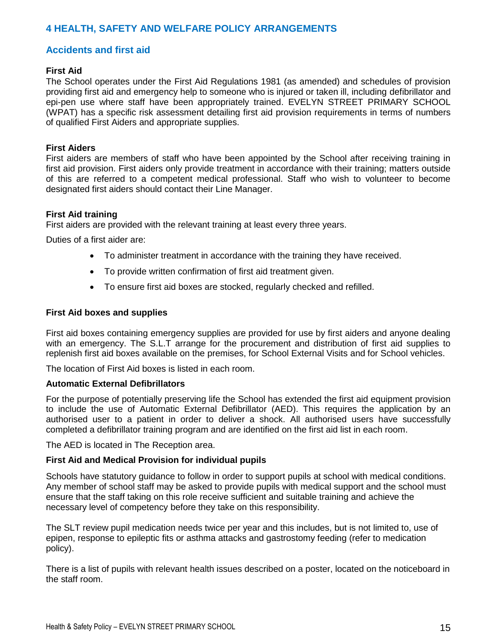## **4 HEALTH, SAFETY AND WELFARE POLICY ARRANGEMENTS**

## **Accidents and first aid**

#### **First Aid**

The School operates under the First Aid Regulations 1981 (as amended) and schedules of provision providing first aid and emergency help to someone who is injured or taken ill, including defibrillator and epi-pen use where staff have been appropriately trained. EVELYN STREET PRIMARY SCHOOL (WPAT) has a specific risk assessment detailing first aid provision requirements in terms of numbers of qualified First Aiders and appropriate supplies.

#### **First Aiders**

First aiders are members of staff who have been appointed by the School after receiving training in first aid provision. First aiders only provide treatment in accordance with their training; matters outside of this are referred to a competent medical professional. Staff who wish to volunteer to become designated first aiders should contact their Line Manager.

#### **First Aid training**

First aiders are provided with the relevant training at least every three years.

Duties of a first aider are:

- To administer treatment in accordance with the training they have received.
- To provide written confirmation of first aid treatment given.
- To ensure first aid boxes are stocked, regularly checked and refilled.

#### **First Aid boxes and supplies**

First aid boxes containing emergency supplies are provided for use by first aiders and anyone dealing with an emergency. The S.L.T arrange for the procurement and distribution of first aid supplies to replenish first aid boxes available on the premises, for School External Visits and for School vehicles.

The location of First Aid boxes is listed in each room.

#### **Automatic External Defibrillators**

For the purpose of potentially preserving life the School has extended the first aid equipment provision to include the use of Automatic External Defibrillator (AED). This requires the application by an authorised user to a patient in order to deliver a shock. All authorised users have successfully completed a defibrillator training program and are identified on the first aid list in each room.

The AED is located in The Reception area.

#### **First Aid and Medical Provision for individual pupils**

Schools have statutory guidance to follow in order to support pupils at school with medical conditions. Any member of school staff may be asked to provide pupils with medical support and the school must ensure that the staff taking on this role receive sufficient and suitable training and achieve the necessary level of competency before they take on this responsibility.

The SLT review pupil medication needs twice per year and this includes, but is not limited to, use of epipen, response to epileptic fits or asthma attacks and gastrostomy feeding (refer to medication policy).

There is a list of pupils with relevant health issues described on a poster, located on the noticeboard in the staff room.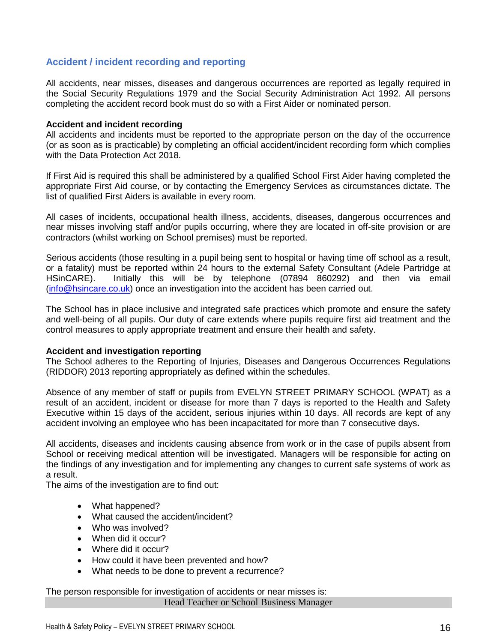## **Accident / incident recording and reporting**

All accidents, near misses, diseases and dangerous occurrences are reported as legally required in the Social Security Regulations 1979 and the Social Security Administration Act 1992. All persons completing the accident record book must do so with a First Aider or nominated person.

#### **Accident and incident recording**

All accidents and incidents must be reported to the appropriate person on the day of the occurrence (or as soon as is practicable) by completing an official accident/incident recording form which complies with the Data Protection Act 2018.

If First Aid is required this shall be administered by a qualified School First Aider having completed the appropriate First Aid course, or by contacting the Emergency Services as circumstances dictate. The list of qualified First Aiders is available in every room.

All cases of incidents, occupational health illness, accidents, diseases, dangerous occurrences and near misses involving staff and/or pupils occurring, where they are located in off-site provision or are contractors (whilst working on School premises) must be reported.

Serious accidents (those resulting in a pupil being sent to hospital or having time off school as a result, or a fatality) must be reported within 24 hours to the external Safety Consultant (Adele Partridge at HSinCARE). Initially this will be by telephone (07894 860292) and then via email [\(info@hsincare.co.uk\)](mailto:info@hsincare.co.uk) once an investigation into the accident has been carried out.

The School has in place inclusive and integrated safe practices which promote and ensure the safety and well-being of all pupils. Our duty of care extends where pupils require first aid treatment and the control measures to apply appropriate treatment and ensure their health and safety.

#### **Accident and investigation reporting**

The School adheres to the Reporting of Injuries, Diseases and Dangerous Occurrences Regulations (RIDDOR) 2013 reporting appropriately as defined within the schedules.

Absence of any member of staff or pupils from EVELYN STREET PRIMARY SCHOOL (WPAT) as a result of an accident, incident or disease for more than 7 days is reported to the Health and Safety Executive within 15 days of the accident, serious injuries within 10 days. All records are kept of any accident involving an employee who has been incapacitated for more than 7 consecutive days**.**

All accidents, diseases and incidents causing absence from work or in the case of pupils absent from School or receiving medical attention will be investigated. Managers will be responsible for acting on the findings of any investigation and for implementing any changes to current safe systems of work as a result.

The aims of the investigation are to find out:

- What happened?
- What caused the accident/incident?
- Who was involved?
- When did it occur?
- Where did it occur?
- How could it have been prevented and how?
- What needs to be done to prevent a recurrence?

The person responsible for investigation of accidents or near misses is:

Head Teacher or School Business Manager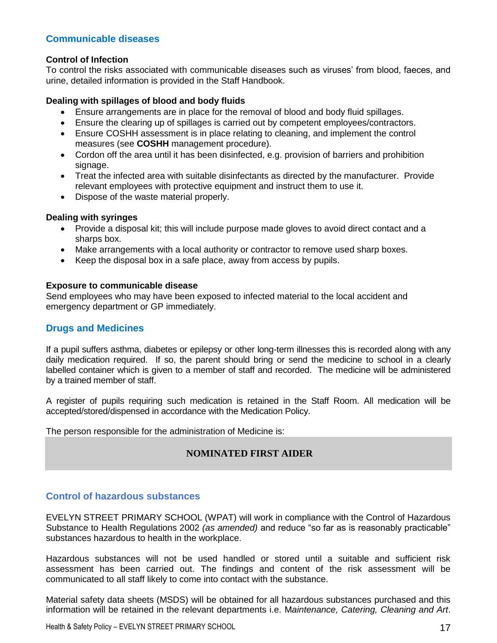## **Communicable diseases**

#### **Control of Infection**

To control the risks associated with communicable diseases such as viruses' from blood, faeces, and urine, detailed information is provided in the Staff Handbook.

#### **Dealing with spillages of blood and body fluids**

- Ensure arrangements are in place for the removal of blood and body fluid spillages.
- Ensure the clearing up of spillages is carried out by competent employees/contractors.
- Ensure COSHH assessment is in place relating to cleaning, and implement the control measures (see **COSHH** management procedure).
- Cordon off the area until it has been disinfected, e.g. provision of barriers and prohibition signage.
- Treat the infected area with suitable disinfectants as directed by the manufacturer. Provide relevant employees with protective equipment and instruct them to use it.
- Dispose of the waste material properly.

#### **Dealing with syringes**

- Provide a disposal kit; this will include purpose made gloves to avoid direct contact and a sharps box.
- Make arrangements with a local authority or contractor to remove used sharp boxes.
- Keep the disposal box in a safe place, away from access by pupils.

#### **Exposure to communicable disease**

Send employees who may have been exposed to infected material to the local accident and emergency department or GP immediately.

#### **Drugs and Medicines**

If a pupil suffers asthma, diabetes or epilepsy or other long-term illnesses this is recorded along with any daily medication required. If so, the parent should bring or send the medicine to school in a clearly labelled container which is given to a member of staff and recorded. The medicine will be administered by a trained member of staff.

A register of pupils requiring such medication is retained in the Staff Room. All medication will be accepted/stored/dispensed in accordance with the Medication Policy.

The person responsible for the administration of Medicine is:

## **NOMINATED FIRST AIDER**

## **Control of hazardous substances**

EVELYN STREET PRIMARY SCHOOL (WPAT) will work in compliance with the Control of Hazardous Substance to Health Regulations 2002 *(as amended)* and reduce "so far as is reasonably practicable" substances hazardous to health in the workplace.

Hazardous substances will not be used handled or stored until a suitable and sufficient risk assessment has been carried out. The findings and content of the risk assessment will be communicated to all staff likely to come into contact with the substance.

Material safety data sheets (MSDS) will be obtained for all hazardous substances purchased and this information will be retained in the relevant departments i.e. M*aintenance, Catering, Cleaning and Art*.

Health & Safety Policy – EVELYN STREET PRIMARY SCHOOL 17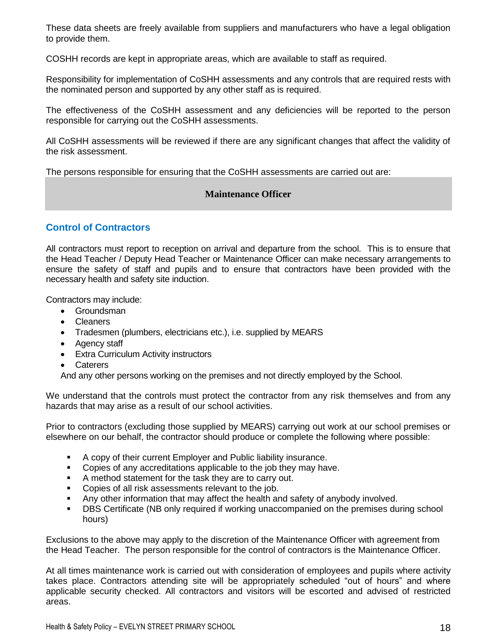These data sheets are freely available from suppliers and manufacturers who have a legal obligation to provide them.

COSHH records are kept in appropriate areas, which are available to staff as required.

Responsibility for implementation of CoSHH assessments and any controls that are required rests with the nominated person and supported by any other staff as is required.

The effectiveness of the CoSHH assessment and any deficiencies will be reported to the person responsible for carrying out the CoSHH assessments.

All CoSHH assessments will be reviewed if there are any significant changes that affect the validity of the risk assessment.

The persons responsible for ensuring that the CoSHH assessments are carried out are:

#### **Maintenance Officer**

## **Control of Contractors**

All contractors must report to reception on arrival and departure from the school. This is to ensure that the Head Teacher / Deputy Head Teacher or Maintenance Officer can make necessary arrangements to ensure the safety of staff and pupils and to ensure that contractors have been provided with the necessary health and safety site induction.

Contractors may include:

- **•** Groundsman
- Cleaners
- Tradesmen (plumbers, electricians etc.), i.e. supplied by MEARS
- Agency staff
- Extra Curriculum Activity instructors
- Caterers

And any other persons working on the premises and not directly employed by the School.

We understand that the controls must protect the contractor from any risk themselves and from any hazards that may arise as a result of our school activities.

Prior to contractors (excluding those supplied by MEARS) carrying out work at our school premises or elsewhere on our behalf, the contractor should produce or complete the following where possible:

- A copy of their current Employer and Public liability insurance.
- Copies of any accreditations applicable to the job they may have.
- A method statement for the task they are to carry out.
- Copies of all risk assessments relevant to the job.
- Any other information that may affect the health and safety of anybody involved.
- **-** DBS Certificate (NB only required if working unaccompanied on the premises during school hours)

Exclusions to the above may apply to the discretion of the Maintenance Officer with agreement from the Head Teacher. The person responsible for the control of contractors is the Maintenance Officer.

At all times maintenance work is carried out with consideration of employees and pupils where activity takes place. Contractors attending site will be appropriately scheduled "out of hours" and where applicable security checked. All contractors and visitors will be escorted and advised of restricted areas.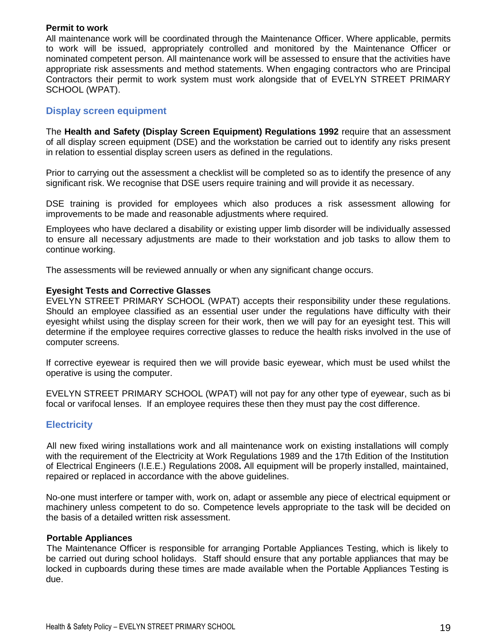#### **Permit to work**

All maintenance work will be coordinated through the Maintenance Officer. Where applicable, permits to work will be issued, appropriately controlled and monitored by the Maintenance Officer or nominated competent person. All maintenance work will be assessed to ensure that the activities have appropriate risk assessments and method statements. When engaging contractors who are Principal Contractors their permit to work system must work alongside that of EVELYN STREET PRIMARY SCHOOL (WPAT).

## **Display screen equipment**

The **Health and Safety (Display Screen Equipment) Regulations 1992** require that an assessment of all display screen equipment (DSE) and the workstation be carried out to identify any risks present in relation to essential display screen users as defined in the regulations.

Prior to carrying out the assessment a checklist will be completed so as to identify the presence of any significant risk. We recognise that DSE users require training and will provide it as necessary.

DSE training is provided for employees which also produces a risk assessment allowing for improvements to be made and reasonable adjustments where required.

Employees who have declared a disability or existing upper limb disorder will be individually assessed to ensure all necessary adjustments are made to their workstation and job tasks to allow them to continue working.

The assessments will be reviewed annually or when any significant change occurs.

#### **Eyesight Tests and Corrective Glasses**

EVELYN STREET PRIMARY SCHOOL (WPAT) accepts their responsibility under these regulations. Should an employee classified as an essential user under the regulations have difficulty with their eyesight whilst using the display screen for their work, then we will pay for an eyesight test. This will determine if the employee requires corrective glasses to reduce the health risks involved in the use of computer screens.

If corrective eyewear is required then we will provide basic eyewear, which must be used whilst the operative is using the computer.

EVELYN STREET PRIMARY SCHOOL (WPAT) will not pay for any other type of eyewear, such as bi focal or varifocal lenses. If an employee requires these then they must pay the cost difference.

#### **Electricity**

All new fixed wiring installations work and all maintenance work on existing installations will comply with the requirement of the Electricity at Work Regulations 1989 and the 17th Edition of the Institution of Electrical Engineers (I.E.E.) Regulations 2008**.** All equipment will be properly installed, maintained, repaired or replaced in accordance with the above guidelines.

No-one must interfere or tamper with, work on, adapt or assemble any piece of electrical equipment or machinery unless competent to do so. Competence levels appropriate to the task will be decided on the basis of a detailed written risk assessment.

#### **Portable Appliances**

The Maintenance Officer is responsible for arranging Portable Appliances Testing, which is likely to be carried out during school holidays. Staff should ensure that any portable appliances that may be locked in cupboards during these times are made available when the Portable Appliances Testing is due.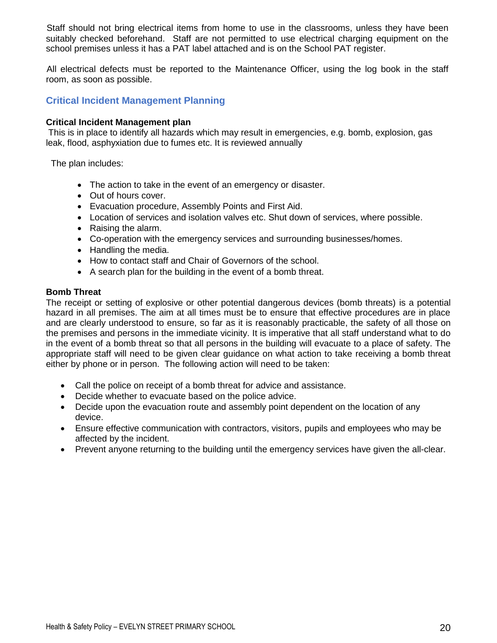Staff should not bring electrical items from home to use in the classrooms, unless they have been suitably checked beforehand. Staff are not permitted to use electrical charging equipment on the school premises unless it has a PAT label attached and is on the School PAT register.

All electrical defects must be reported to the Maintenance Officer, using the log book in the staff room, as soon as possible.

## **Critical Incident Management Planning**

#### **Critical Incident Management plan**

This is in place to identify all hazards which may result in emergencies, e.g. bomb, explosion, gas leak, flood, asphyxiation due to fumes etc. It is reviewed annually

The plan includes:

- The action to take in the event of an emergency or disaster.
- Out of hours cover.
- Evacuation procedure, Assembly Points and First Aid.
- Location of services and isolation valves etc. Shut down of services, where possible.
- Raising the alarm.
- Co-operation with the emergency services and surrounding businesses/homes.
- Handling the media.
- How to contact staff and Chair of Governors of the school.
- A search plan for the building in the event of a bomb threat.

#### **Bomb Threat**

The receipt or setting of explosive or other potential dangerous devices (bomb threats) is a potential hazard in all premises. The aim at all times must be to ensure that effective procedures are in place and are clearly understood to ensure, so far as it is reasonably practicable, the safety of all those on the premises and persons in the immediate vicinity. It is imperative that all staff understand what to do in the event of a bomb threat so that all persons in the building will evacuate to a place of safety. The appropriate staff will need to be given clear guidance on what action to take receiving a bomb threat either by phone or in person. The following action will need to be taken:

- Call the police on receipt of a bomb threat for advice and assistance.
- Decide whether to evacuate based on the police advice.
- Decide upon the evacuation route and assembly point dependent on the location of any device.
- Ensure effective communication with contractors, visitors, pupils and employees who may be affected by the incident.
- Prevent anyone returning to the building until the emergency services have given the all-clear.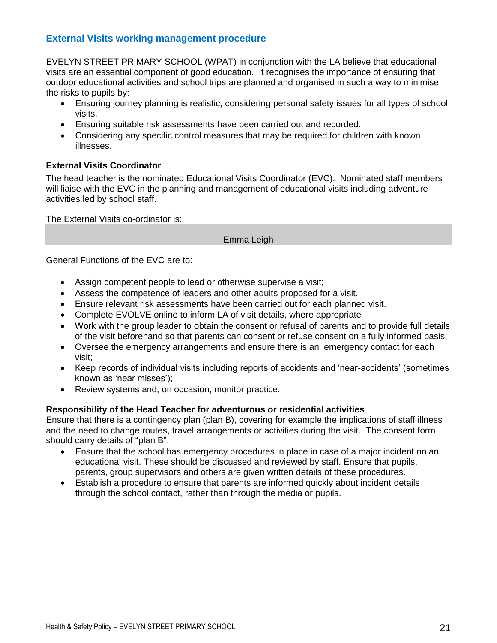## **External Visits working management procedure**

EVELYN STREET PRIMARY SCHOOL (WPAT) in conjunction with the LA believe that educational visits are an essential component of good education. It recognises the importance of ensuring that outdoor educational activities and school trips are planned and organised in such a way to minimise the risks to pupils by:

- Ensuring journey planning is realistic, considering personal safety issues for all types of school visits.
- Ensuring suitable risk assessments have been carried out and recorded.
- Considering any specific control measures that may be required for children with known illnesses.

#### **External Visits Coordinator**

The head teacher is the nominated Educational Visits Coordinator (EVC). Nominated staff members will liaise with the EVC in the planning and management of educational visits including adventure activities led by school staff.

The External Visits co-ordinator is:

#### Emma Leigh

General Functions of the EVC are to:

- Assign competent people to lead or otherwise supervise a visit;
- Assess the competence of leaders and other adults proposed for a visit.
- Ensure relevant risk assessments have been carried out for each planned visit.
- Complete EVOLVE online to inform LA of visit details, where appropriate
- Work with the group leader to obtain the consent or refusal of parents and to provide full details of the visit beforehand so that parents can consent or refuse consent on a fully informed basis;
- Oversee the emergency arrangements and ensure there is an emergency contact for each visit;
- Keep records of individual visits including reports of accidents and 'near-accidents' (sometimes known as 'near misses');
- Review systems and, on occasion, monitor practice.

#### **Responsibility of the Head Teacher for adventurous or residential activities**

Ensure that there is a contingency plan (plan B), covering for example the implications of staff illness and the need to change routes, travel arrangements or activities during the visit. The consent form should carry details of "plan B".

- Ensure that the school has emergency procedures in place in case of a major incident on an educational visit. These should be discussed and reviewed by staff. Ensure that pupils, parents, group supervisors and others are given written details of these procedures.
- Establish a procedure to ensure that parents are informed quickly about incident details through the school contact, rather than through the media or pupils.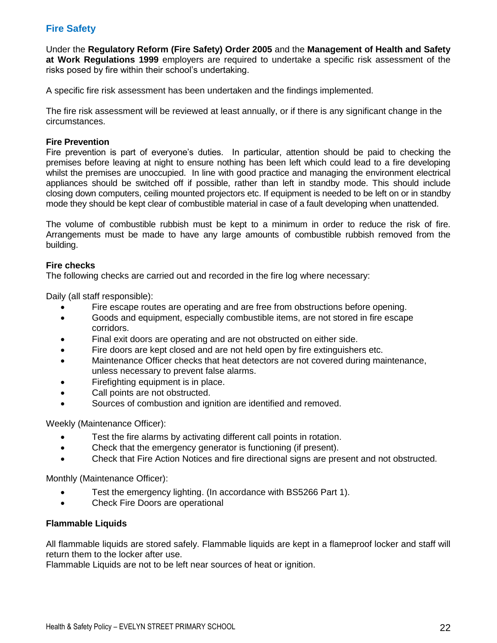## **Fire Safety**

Under the **Regulatory Reform (Fire Safety) Order 2005** and the **Management of Health and Safety at Work Regulations 1999** employers are required to undertake a specific risk assessment of the risks posed by fire within their school's undertaking.

A specific fire risk assessment has been undertaken and the findings implemented.

The fire risk assessment will be reviewed at least annually, or if there is any significant change in the circumstances.

#### **Fire Prevention**

Fire prevention is part of everyone's duties. In particular, attention should be paid to checking the premises before leaving at night to ensure nothing has been left which could lead to a fire developing whilst the premises are unoccupied. In line with good practice and managing the environment electrical appliances should be switched off if possible, rather than left in standby mode. This should include closing down computers, ceiling mounted projectors etc. If equipment is needed to be left on or in standby mode they should be kept clear of combustible material in case of a fault developing when unattended.

The volume of combustible rubbish must be kept to a minimum in order to reduce the risk of fire. Arrangements must be made to have any large amounts of combustible rubbish removed from the building.

#### **Fire checks**

The following checks are carried out and recorded in the fire log where necessary:

Daily (all staff responsible):

- Fire escape routes are operating and are free from obstructions before opening.
- Goods and equipment, especially combustible items, are not stored in fire escape corridors.
- Final exit doors are operating and are not obstructed on either side.
- Fire doors are kept closed and are not held open by fire extinguishers etc.
- Maintenance Officer checks that heat detectors are not covered during maintenance, unless necessary to prevent false alarms.
- Firefighting equipment is in place.
- Call points are not obstructed.
- Sources of combustion and ignition are identified and removed.

Weekly (Maintenance Officer):

- **•** Test the fire alarms by activating different call points in rotation.
- Check that the emergency generator is functioning (if present).
- Check that Fire Action Notices and fire directional signs are present and not obstructed.

Monthly (Maintenance Officer):

- Test the emergency lighting. (In accordance with BS5266 Part 1).
- Check Fire Doors are operational

#### **Flammable Liquids**

All flammable liquids are stored safely. Flammable liquids are kept in a flameproof locker and staff will return them to the locker after use.

Flammable Liquids are not to be left near sources of heat or ignition.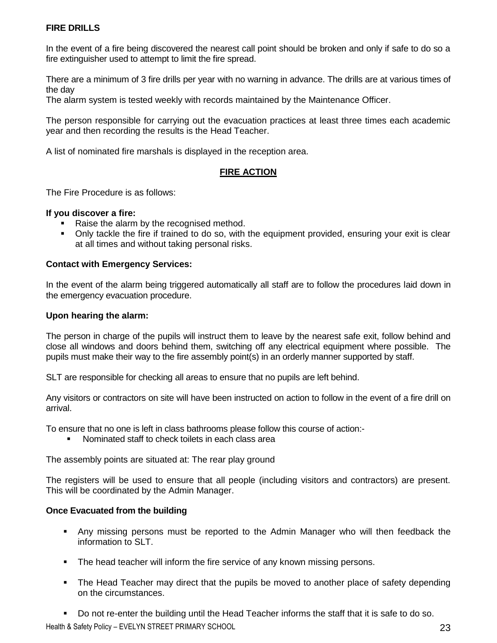## **FIRE DRILLS**

In the event of a fire being discovered the nearest call point should be broken and only if safe to do so a fire extinguisher used to attempt to limit the fire spread.

There are a minimum of 3 fire drills per year with no warning in advance. The drills are at various times of the day

The alarm system is tested weekly with records maintained by the Maintenance Officer.

The person responsible for carrying out the evacuation practices at least three times each academic year and then recording the results is the Head Teacher.

A list of nominated fire marshals is displayed in the reception area.

#### **FIRE ACTION**

The Fire Procedure is as follows:

#### **If you discover a fire:**

- Raise the alarm by the recognised method.
- Only tackle the fire if trained to do so, with the equipment provided, ensuring your exit is clear at all times and without taking personal risks.

#### **Contact with Emergency Services:**

In the event of the alarm being triggered automatically all staff are to follow the procedures laid down in the emergency evacuation procedure.

#### **Upon hearing the alarm:**

The person in charge of the pupils will instruct them to leave by the nearest safe exit, follow behind and close all windows and doors behind them, switching off any electrical equipment where possible. The pupils must make their way to the fire assembly point(s) in an orderly manner supported by staff.

SLT are responsible for checking all areas to ensure that no pupils are left behind.

Any visitors or contractors on site will have been instructed on action to follow in the event of a fire drill on arrival.

To ensure that no one is left in class bathrooms please follow this course of action:-

Nominated staff to check toilets in each class area

The assembly points are situated at: The rear play ground

The registers will be used to ensure that all people (including visitors and contractors) are present. This will be coordinated by the Admin Manager.

#### **Once Evacuated from the building**

- Any missing persons must be reported to the Admin Manager who will then feedback the information to SLT.
- **The head teacher will inform the fire service of any known missing persons.**
- The Head Teacher may direct that the pupils be moved to another place of safety depending on the circumstances.
- Do not re-enter the building until the Head Teacher informs the staff that it is safe to do so.

Health & Safety Policy – EVELYN STREET PRIMARY SCHOOL **For a struck of the struck of the SCS** 23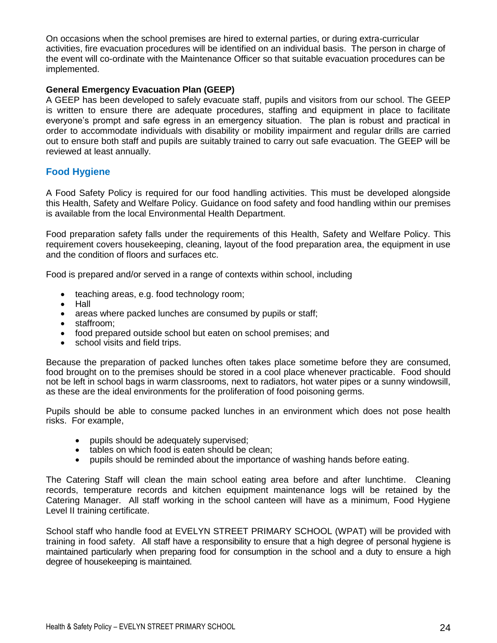On occasions when the school premises are hired to external parties, or during extra-curricular activities, fire evacuation procedures will be identified on an individual basis. The person in charge of the event will co-ordinate with the Maintenance Officer so that suitable evacuation procedures can be implemented.

#### **General Emergency Evacuation Plan (GEEP)**

A GEEP has been developed to safely evacuate staff, pupils and visitors from our school. The GEEP is written to ensure there are adequate procedures, staffing and equipment in place to facilitate everyone's prompt and safe egress in an emergency situation. The plan is robust and practical in order to accommodate individuals with disability or mobility impairment and regular drills are carried out to ensure both staff and pupils are suitably trained to carry out safe evacuation. The GEEP will be reviewed at least annually.

## **Food Hygiene**

A Food Safety Policy is required for our food handling activities. This must be developed alongside this Health, Safety and Welfare Policy. Guidance on food safety and food handling within our premises is available from the local Environmental Health Department.

Food preparation safety falls under the requirements of this Health, Safety and Welfare Policy. This requirement covers housekeeping, cleaning, layout of the food preparation area, the equipment in use and the condition of floors and surfaces etc.

Food is prepared and/or served in a range of contexts within school, including

- teaching areas, e.g. food technology room;
- Hall
- areas where packed lunches are consumed by pupils or staff;
- staffroom:
- food prepared outside school but eaten on school premises; and
- school visits and field trips.

Because the preparation of packed lunches often takes place sometime before they are consumed, food brought on to the premises should be stored in a cool place whenever practicable. Food should not be left in school bags in warm classrooms, next to radiators, hot water pipes or a sunny windowsill, as these are the ideal environments for the proliferation of food poisoning germs.

Pupils should be able to consume packed lunches in an environment which does not pose health risks. For example,

- pupils should be adequately supervised;
- tables on which food is eaten should be clean:
- pupils should be reminded about the importance of washing hands before eating.

The Catering Staff will clean the main school eating area before and after lunchtime. Cleaning records, temperature records and kitchen equipment maintenance logs will be retained by the Catering Manager. All staff working in the school canteen will have as a minimum, Food Hygiene Level II training certificate.

School staff who handle food at EVELYN STREET PRIMARY SCHOOL (WPAT) will be provided with training in food safety. All staff have a responsibility to ensure that a high degree of personal hygiene is maintained particularly when preparing food for consumption in the school and a duty to ensure a high degree of housekeeping is maintained.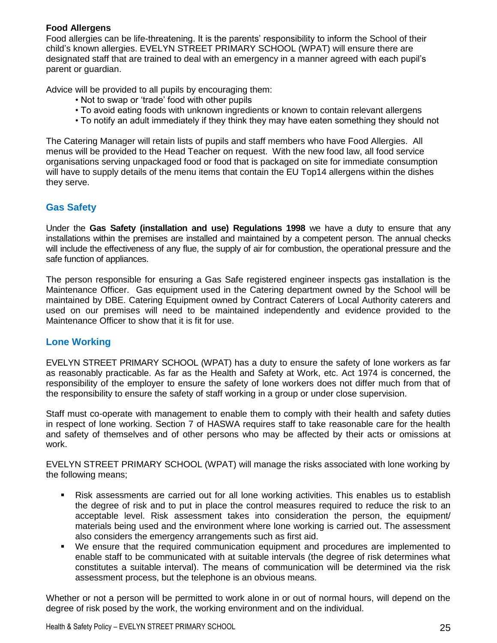## **Food Allergens**

Food allergies can be life-threatening. It is the parents' responsibility to inform the School of their child's known allergies. EVELYN STREET PRIMARY SCHOOL (WPAT) will ensure there are designated staff that are trained to deal with an emergency in a manner agreed with each pupil's parent or guardian.

Advice will be provided to all pupils by encouraging them:

- Not to swap or 'trade' food with other pupils
- To avoid eating foods with unknown ingredients or known to contain relevant allergens
- To notify an adult immediately if they think they may have eaten something they should not

The Catering Manager will retain lists of pupils and staff members who have Food Allergies. All menus will be provided to the Head Teacher on request. With the new food law, all food service organisations serving unpackaged food or food that is packaged on site for immediate consumption will have to supply details of the menu items that contain the EU Top14 allergens within the dishes they serve.

## **Gas Safety**

Under the **Gas Safety (installation and use) Regulations 1998** we have a duty to ensure that any installations within the premises are installed and maintained by a competent person. The annual checks will include the effectiveness of any flue, the supply of air for combustion, the operational pressure and the safe function of appliances.

The person responsible for ensuring a Gas Safe registered engineer inspects gas installation is the Maintenance Officer. Gas equipment used in the Catering department owned by the School will be maintained by DBE. Catering Equipment owned by Contract Caterers of Local Authority caterers and used on our premises will need to be maintained independently and evidence provided to the Maintenance Officer to show that it is fit for use.

#### **Lone Working**

EVELYN STREET PRIMARY SCHOOL (WPAT) has a duty to ensure the safety of lone workers as far as reasonably practicable. As far as the Health and Safety at Work, etc. Act 1974 is concerned, the responsibility of the employer to ensure the safety of lone workers does not differ much from that of the responsibility to ensure the safety of staff working in a group or under close supervision.

Staff must co-operate with management to enable them to comply with their health and safety duties in respect of lone working. Section 7 of HASWA requires staff to take reasonable care for the health and safety of themselves and of other persons who may be affected by their acts or omissions at work.

EVELYN STREET PRIMARY SCHOOL (WPAT) will manage the risks associated with lone working by the following means;

- Risk assessments are carried out for all lone working activities. This enables us to establish the degree of risk and to put in place the control measures required to reduce the risk to an acceptable level. Risk assessment takes into consideration the person, the equipment/ materials being used and the environment where lone working is carried out. The assessment also considers the emergency arrangements such as first aid.
- We ensure that the required communication equipment and procedures are implemented to enable staff to be communicated with at suitable intervals (the degree of risk determines what constitutes a suitable interval). The means of communication will be determined via the risk assessment process, but the telephone is an obvious means.

Whether or not a person will be permitted to work alone in or out of normal hours, will depend on the degree of risk posed by the work, the working environment and on the individual.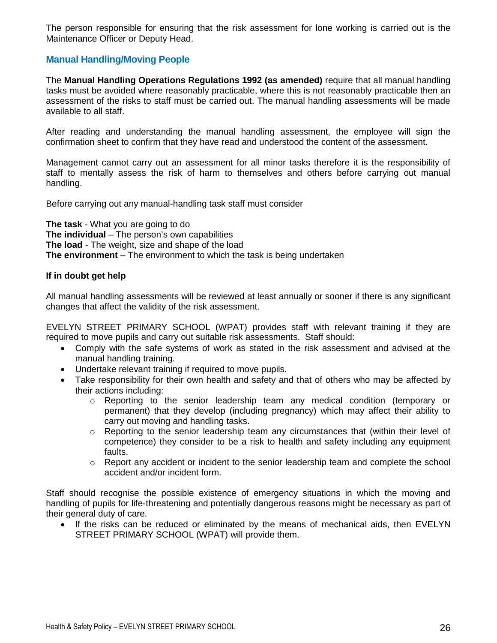The person responsible for ensuring that the risk assessment for lone working is carried out is the Maintenance Officer or Deputy Head.

## **Manual Handling/Moving People**

The **Manual Handling Operations Regulations 1992 (as amended)** require that all manual handling tasks must be avoided where reasonably practicable, where this is not reasonably practicable then an assessment of the risks to staff must be carried out. The manual handling assessments will be made available to all staff.

After reading and understanding the manual handling assessment, the employee will sign the confirmation sheet to confirm that they have read and understood the content of the assessment.

Management cannot carry out an assessment for all minor tasks therefore it is the responsibility of staff to mentally assess the risk of harm to themselves and others before carrying out manual handling.

Before carrying out any manual-handling task staff must consider

**The task** - What you are going to do **The individual** – The person's own capabilities **The load** - The weight, size and shape of the load **The environment** – The environment to which the task is being undertaken

#### **If in doubt get help**

All manual handling assessments will be reviewed at least annually or sooner if there is any significant changes that affect the validity of the risk assessment.

EVELYN STREET PRIMARY SCHOOL (WPAT) provides staff with relevant training if they are required to move pupils and carry out suitable risk assessments. Staff should:

- Comply with the safe systems of work as stated in the risk assessment and advised at the manual handling training.
- Undertake relevant training if required to move pupils.
- Take responsibility for their own health and safety and that of others who may be affected by their actions including:
	- $\circ$  Reporting to the senior leadership team any medical condition (temporary or permanent) that they develop (including pregnancy) which may affect their ability to carry out moving and handling tasks.
	- $\circ$  Reporting to the senior leadership team any circumstances that (within their level of competence) they consider to be a risk to health and safety including any equipment faults.
	- $\circ$  Report any accident or incident to the senior leadership team and complete the school accident and/or incident form.

Staff should recognise the possible existence of emergency situations in which the moving and handling of pupils for life-threatening and potentially dangerous reasons might be necessary as part of their general duty of care.

• If the risks can be reduced or eliminated by the means of mechanical aids, then EVELYN STREET PRIMARY SCHOOL (WPAT) will provide them.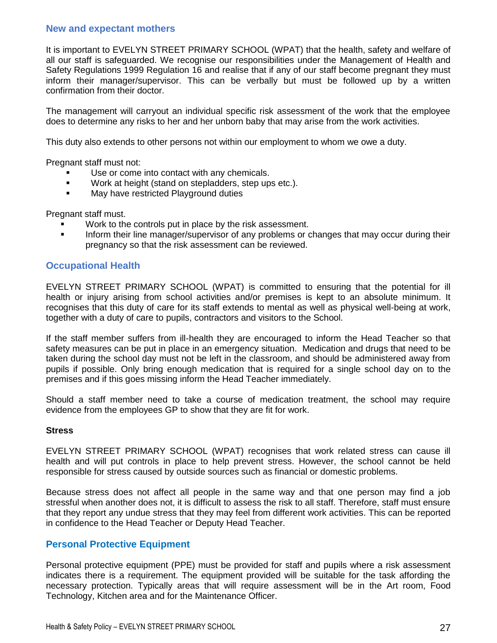#### **New and expectant mothers**

It is important to EVELYN STREET PRIMARY SCHOOL (WPAT) that the health, safety and welfare of all our staff is safeguarded. We recognise our responsibilities under the Management of Health and Safety Regulations 1999 Regulation 16 and realise that if any of our staff become pregnant they must inform their manager/supervisor. This can be verbally but must be followed up by a written confirmation from their doctor.

The management will carryout an individual specific risk assessment of the work that the employee does to determine any risks to her and her unborn baby that may arise from the work activities.

This duty also extends to other persons not within our employment to whom we owe a duty.

Pregnant staff must not:

- Use or come into contact with any chemicals.
- **Work at height (stand on stepladders, step ups etc.).**
- **May have restricted Playground duties**

Pregnant staff must.

- Work to the controls put in place by the risk assessment.
- **Inform their line manager/supervisor of any problems or changes that may occur during their** pregnancy so that the risk assessment can be reviewed.

#### **Occupational Health**

EVELYN STREET PRIMARY SCHOOL (WPAT) is committed to ensuring that the potential for ill health or injury arising from school activities and/or premises is kept to an absolute minimum. It recognises that this duty of care for its staff extends to mental as well as physical well-being at work, together with a duty of care to pupils, contractors and visitors to the School.

If the staff member suffers from ill-health they are encouraged to inform the Head Teacher so that safety measures can be put in place in an emergency situation. Medication and drugs that need to be taken during the school day must not be left in the classroom, and should be administered away from pupils if possible. Only bring enough medication that is required for a single school day on to the premises and if this goes missing inform the Head Teacher immediately.

Should a staff member need to take a course of medication treatment, the school may require evidence from the employees GP to show that they are fit for work.

#### **Stress**

EVELYN STREET PRIMARY SCHOOL (WPAT) recognises that work related stress can cause ill health and will put controls in place to help prevent stress. However, the school cannot be held responsible for stress caused by outside sources such as financial or domestic problems.

Because stress does not affect all people in the same way and that one person may find a job stressful when another does not, it is difficult to assess the risk to all staff. Therefore, staff must ensure that they report any undue stress that they may feel from different work activities. This can be reported in confidence to the Head Teacher or Deputy Head Teacher.

#### **Personal Protective Equipment**

Personal protective equipment (PPE) must be provided for staff and pupils where a risk assessment indicates there is a requirement. The equipment provided will be suitable for the task affording the necessary protection. Typically areas that will require assessment will be in the Art room, Food Technology, Kitchen area and for the Maintenance Officer.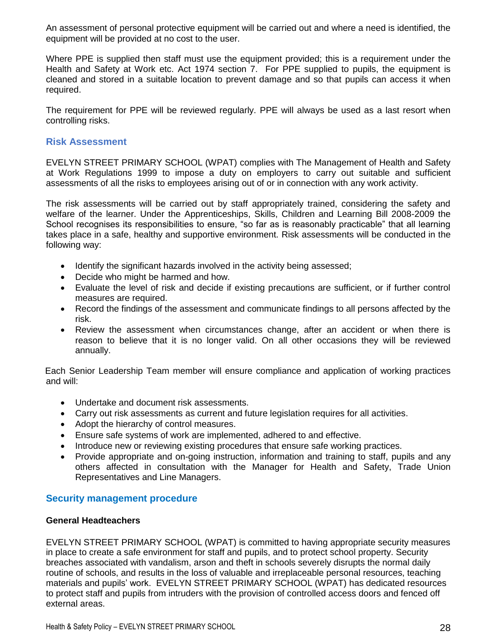An assessment of personal protective equipment will be carried out and where a need is identified, the equipment will be provided at no cost to the user.

Where PPE is supplied then staff must use the equipment provided; this is a requirement under the Health and Safety at Work etc. Act 1974 section 7. For PPE supplied to pupils, the equipment is cleaned and stored in a suitable location to prevent damage and so that pupils can access it when required.

The requirement for PPE will be reviewed regularly. PPE will always be used as a last resort when controlling risks.

#### **Risk Assessment**

EVELYN STREET PRIMARY SCHOOL (WPAT) complies with The Management of Health and Safety at Work Regulations 1999 to impose a duty on employers to carry out suitable and sufficient assessments of all the risks to employees arising out of or in connection with any work activity.

The risk assessments will be carried out by staff appropriately trained, considering the safety and welfare of the learner. Under the Apprenticeships, Skills, Children and Learning Bill 2008-2009 the School recognises its responsibilities to ensure, "so far as is reasonably practicable" that all learning takes place in a safe, healthy and supportive environment. Risk assessments will be conducted in the following way:

- Identify the significant hazards involved in the activity being assessed;
- Decide who might be harmed and how.
- Evaluate the level of risk and decide if existing precautions are sufficient, or if further control measures are required.
- Record the findings of the assessment and communicate findings to all persons affected by the risk.
- Review the assessment when circumstances change, after an accident or when there is reason to believe that it is no longer valid. On all other occasions they will be reviewed annually.

 Each Senior Leadership Team member will ensure compliance and application of working practices and will:

- Undertake and document risk assessments.
- Carry out risk assessments as current and future legislation requires for all activities.
- Adopt the hierarchy of control measures.
- Ensure safe systems of work are implemented, adhered to and effective.
- Introduce new or reviewing existing procedures that ensure safe working practices.
- Provide appropriate and on-going instruction, information and training to staff, pupils and any others affected in consultation with the Manager for Health and Safety, Trade Union Representatives and Line Managers.

#### **Security management procedure**

#### **General Headteachers**

EVELYN STREET PRIMARY SCHOOL (WPAT) is committed to having appropriate security measures in place to create a safe environment for staff and pupils, and to protect school property. Security breaches associated with vandalism, arson and theft in schools severely disrupts the normal daily routine of schools, and results in the loss of valuable and irreplaceable personal resources, teaching materials and pupils' work. EVELYN STREET PRIMARY SCHOOL (WPAT) has dedicated resources to protect staff and pupils from intruders with the provision of controlled access doors and fenced off external areas.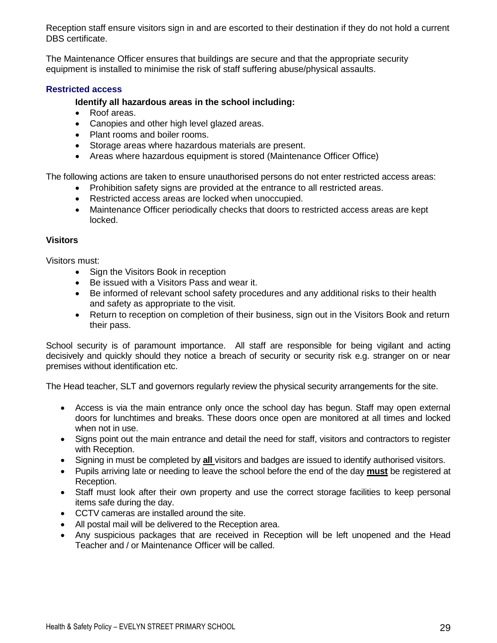Reception staff ensure visitors sign in and are escorted to their destination if they do not hold a current DBS certificate.

The Maintenance Officer ensures that buildings are secure and that the appropriate security equipment is installed to minimise the risk of staff suffering abuse/physical assaults.

## **Restricted access**

## **Identify all hazardous areas in the school including:**

- Roof areas.
- Canopies and other high level glazed areas.
- Plant rooms and boiler rooms.
- Storage areas where hazardous materials are present.
- Areas where hazardous equipment is stored (Maintenance Officer Office)

The following actions are taken to ensure unauthorised persons do not enter restricted access areas:

- Prohibition safety signs are provided at the entrance to all restricted areas.
- Restricted access areas are locked when unoccupied.
- Maintenance Officer periodically checks that doors to restricted access areas are kept locked.

## **Visitors**

Visitors must:

- Sign the Visitors Book in reception
- Be issued with a Visitors Pass and wear it.
- Be informed of relevant school safety procedures and any additional risks to their health and safety as appropriate to the visit.
- Return to reception on completion of their business, sign out in the Visitors Book and return their pass.

School security is of paramount importance. All staff are responsible for being vigilant and acting decisively and quickly should they notice a breach of security or security risk e.g. stranger on or near premises without identification etc.

The Head teacher, SLT and governors regularly review the physical security arrangements for the site.

- Access is via the main entrance only once the school day has begun. Staff may open external doors for lunchtimes and breaks. These doors once open are monitored at all times and locked when not in use.
- Signs point out the main entrance and detail the need for staff, visitors and contractors to register with Reception.
- Signing in must be completed by **all** visitors and badges are issued to identify authorised visitors.
- Pupils arriving late or needing to leave the school before the end of the day **must** be registered at Reception.
- Staff must look after their own property and use the correct storage facilities to keep personal items safe during the day.
- CCTV cameras are installed around the site.
- All postal mail will be delivered to the Reception area.
- Any suspicious packages that are received in Reception will be left unopened and the Head Teacher and / or Maintenance Officer will be called.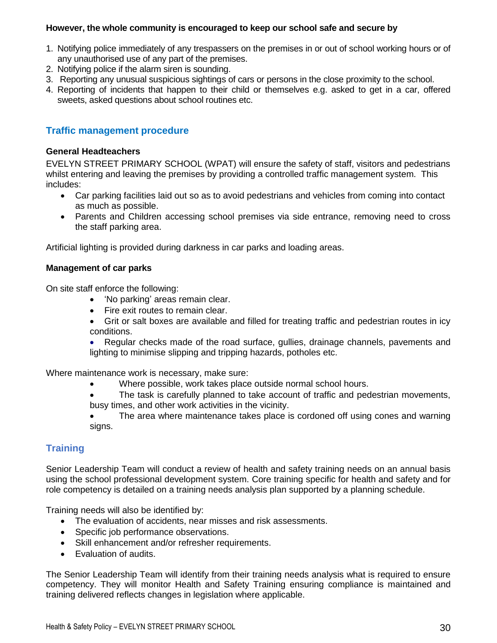#### **However, the whole community is encouraged to keep our school safe and secure by**

- 1. Notifying police immediately of any trespassers on the premises in or out of school working hours or of any unauthorised use of any part of the premises.
- 2. Notifying police if the alarm siren is sounding.
- 3. Reporting any unusual suspicious sightings of cars or persons in the close proximity to the school.
- 4. Reporting of incidents that happen to their child or themselves e.g. asked to get in a car, offered sweets, asked questions about school routines etc.

## **Traffic management procedure**

#### **General Headteachers**

EVELYN STREET PRIMARY SCHOOL (WPAT) will ensure the safety of staff, visitors and pedestrians whilst entering and leaving the premises by providing a controlled traffic management system. This includes:

- Car parking facilities laid out so as to avoid pedestrians and vehicles from coming into contact as much as possible.
- Parents and Children accessing school premises via side entrance, removing need to cross the staff parking area.

Artificial lighting is provided during darkness in car parks and loading areas.

#### **Management of car parks**

On site staff enforce the following:

- 'No parking' areas remain clear.
- Fire exit routes to remain clear.
- Grit or salt boxes are available and filled for treating traffic and pedestrian routes in icy conditions.
- Regular checks made of the road surface, gullies, drainage channels, pavements and lighting to minimise slipping and tripping hazards, potholes etc.

Where maintenance work is necessary, make sure:

- Where possible, work takes place outside normal school hours.
- The task is carefully planned to take account of traffic and pedestrian movements, busy times, and other work activities in the vicinity.
- The area where maintenance takes place is cordoned off using cones and warning signs.

## **Training**

Senior Leadership Team will conduct a review of health and safety training needs on an annual basis using the school professional development system. Core training specific for health and safety and for role competency is detailed on a training needs analysis plan supported by a planning schedule.

Training needs will also be identified by:

- The evaluation of accidents, near misses and risk assessments.
- Specific job performance observations.
- Skill enhancement and/or refresher requirements.
- Evaluation of audits.

The Senior Leadership Team will identify from their training needs analysis what is required to ensure competency. They will monitor Health and Safety Training ensuring compliance is maintained and training delivered reflects changes in legislation where applicable.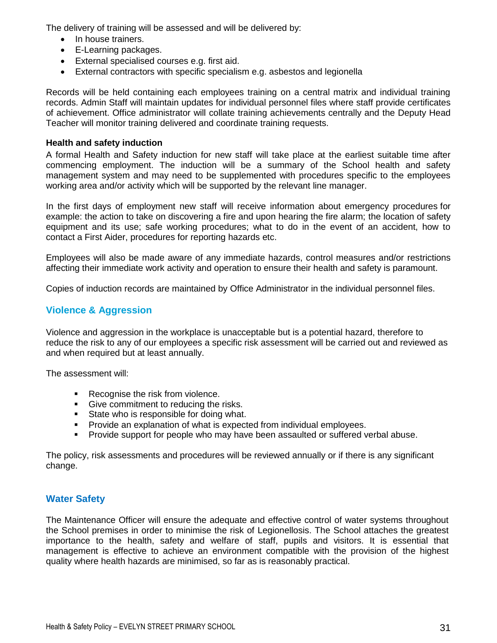The delivery of training will be assessed and will be delivered by:

- In house trainers.
- E-Learning packages.
- External specialised courses e.g. first aid.
- External contractors with specific specialism e.g. asbestos and legionella

Records will be held containing each employees training on a central matrix and individual training records. Admin Staff will maintain updates for individual personnel files where staff provide certificates of achievement. Office administrator will collate training achievements centrally and the Deputy Head Teacher will monitor training delivered and coordinate training requests.

## **Health and safety induction**

A formal Health and Safety induction for new staff will take place at the earliest suitable time after commencing employment. The induction will be a summary of the School health and safety management system and may need to be supplemented with procedures specific to the employees working area and/or activity which will be supported by the relevant line manager.

In the first days of employment new staff will receive information about emergency procedures for example: the action to take on discovering a fire and upon hearing the fire alarm; the location of safety equipment and its use; safe working procedures; what to do in the event of an accident, how to contact a First Aider, procedures for reporting hazards etc.

Employees will also be made aware of any immediate hazards, control measures and/or restrictions affecting their immediate work activity and operation to ensure their health and safety is paramount.

Copies of induction records are maintained by Office Administrator in the individual personnel files.

## **Violence & Aggression**

Violence and aggression in the workplace is unacceptable but is a potential hazard, therefore to reduce the risk to any of our employees a specific risk assessment will be carried out and reviewed as and when required but at least annually.

The assessment will:

- Recognise the risk from violence.
- Give commitment to reducing the risks.
- State who is responsible for doing what.
- **Provide an explanation of what is expected from individual employees.**
- Provide support for people who may have been assaulted or suffered verbal abuse.

The policy, risk assessments and procedures will be reviewed annually or if there is any significant change.

## **Water Safety**

The Maintenance Officer will ensure the adequate and effective control of water systems throughout the School premises in order to minimise the risk of Legionellosis. The School attaches the greatest importance to the health, safety and welfare of staff, pupils and visitors. It is essential that management is effective to achieve an environment compatible with the provision of the highest quality where health hazards are minimised, so far as is reasonably practical.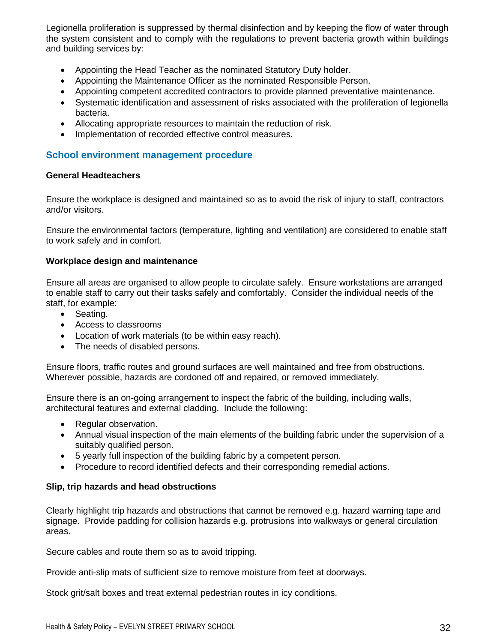Legionella proliferation is suppressed by thermal disinfection and by keeping the flow of water through the system consistent and to comply with the regulations to prevent bacteria growth within buildings and building services by:

- Appointing the Head Teacher as the nominated Statutory Duty holder.
- Appointing the Maintenance Officer as the nominated Responsible Person.
- Appointing competent accredited contractors to provide planned preventative maintenance.
- Systematic identification and assessment of risks associated with the proliferation of legionella bacteria.
- Allocating appropriate resources to maintain the reduction of risk.
- Implementation of recorded effective control measures.

## **School environment management procedure**

#### **General Headteachers**

Ensure the workplace is designed and maintained so as to avoid the risk of injury to staff, contractors and/or visitors.

Ensure the environmental factors (temperature, lighting and ventilation) are considered to enable staff to work safely and in comfort.

#### **Workplace design and maintenance**

Ensure all areas are organised to allow people to circulate safely. Ensure workstations are arranged to enable staff to carry out their tasks safely and comfortably. Consider the individual needs of the staff, for example:

- Seating.
- Access to classrooms
- Location of work materials (to be within easy reach).
- The needs of disabled persons.

Ensure floors, traffic routes and ground surfaces are well maintained and free from obstructions. Wherever possible, hazards are cordoned off and repaired, or removed immediately.

Ensure there is an on-going arrangement to inspect the fabric of the building, including walls, architectural features and external cladding. Include the following:

- Regular observation.
- Annual visual inspection of the main elements of the building fabric under the supervision of a suitably qualified person.
- 5 yearly full inspection of the building fabric by a competent person.
- Procedure to record identified defects and their corresponding remedial actions.

#### **Slip, trip hazards and head obstructions**

Clearly highlight trip hazards and obstructions that cannot be removed e.g. hazard warning tape and signage. Provide padding for collision hazards e.g. protrusions into walkways or general circulation areas.

Secure cables and route them so as to avoid tripping.

Provide anti-slip mats of sufficient size to remove moisture from feet at doorways.

Stock grit/salt boxes and treat external pedestrian routes in icy conditions.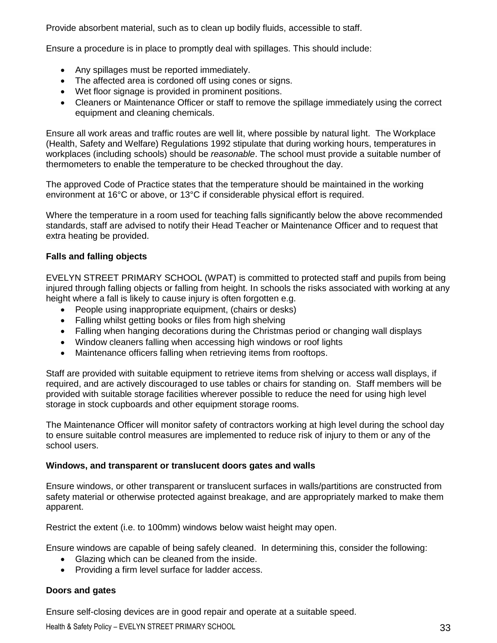Provide absorbent material, such as to clean up bodily fluids, accessible to staff.

Ensure a procedure is in place to promptly deal with spillages. This should include:

- Any spillages must be reported immediately.
- The affected area is cordoned off using cones or signs.
- Wet floor signage is provided in prominent positions.
- Cleaners or Maintenance Officer or staff to remove the spillage immediately using the correct equipment and cleaning chemicals.

Ensure all work areas and traffic routes are well lit, where possible by natural light. The Workplace (Health, Safety and Welfare) Regulations 1992 stipulate that during working hours, temperatures in workplaces (including schools) should be *reasonable*. The school must provide a suitable number of thermometers to enable the temperature to be checked throughout the day.

The approved Code of Practice states that the temperature should be maintained in the working environment at 16°C or above, or 13°C if considerable physical effort is required.

Where the temperature in a room used for teaching falls significantly below the above recommended standards, staff are advised to notify their Head Teacher or Maintenance Officer and to request that extra heating be provided.

#### **Falls and falling objects**

EVELYN STREET PRIMARY SCHOOL (WPAT) is committed to protected staff and pupils from being injured through falling objects or falling from height. In schools the risks associated with working at any height where a fall is likely to cause injury is often forgotten e.g.

- People using inappropriate equipment, (chairs or desks)
- Falling whilst getting books or files from high shelving
- Falling when hanging decorations during the Christmas period or changing wall displays
- Window cleaners falling when accessing high windows or roof lights
- Maintenance officers falling when retrieving items from rooftops.

Staff are provided with suitable equipment to retrieve items from shelving or access wall displays, if required, and are actively discouraged to use tables or chairs for standing on. Staff members will be provided with suitable storage facilities wherever possible to reduce the need for using high level storage in stock cupboards and other equipment storage rooms.

The Maintenance Officer will monitor safety of contractors working at high level during the school day to ensure suitable control measures are implemented to reduce risk of injury to them or any of the school users.

#### **Windows, and transparent or translucent doors gates and walls**

Ensure windows, or other transparent or translucent surfaces in walls/partitions are constructed from safety material or otherwise protected against breakage, and are appropriately marked to make them apparent.

Restrict the extent (i.e. to 100mm) windows below waist height may open.

Ensure windows are capable of being safely cleaned. In determining this, consider the following:

- Glazing which can be cleaned from the inside.
- Providing a firm level surface for ladder access.

#### **Doors and gates**

Ensure self-closing devices are in good repair and operate at a suitable speed.

Health & Safety Policy – EVELYN STREET PRIMARY SCHOOL 33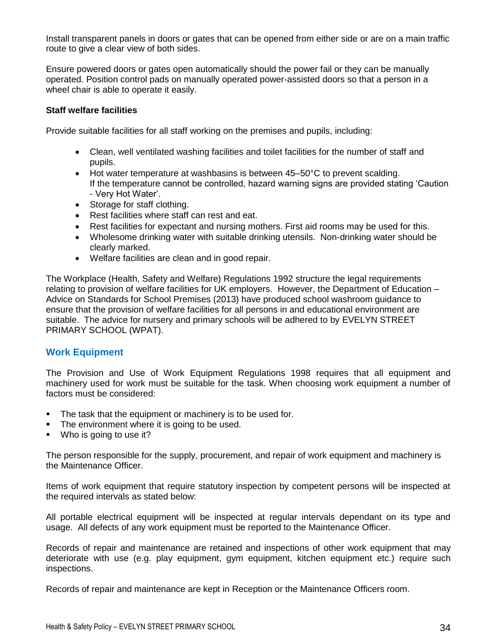Install transparent panels in doors or gates that can be opened from either side or are on a main traffic route to give a clear view of both sides.

Ensure powered doors or gates open automatically should the power fail or they can be manually operated. Position control pads on manually operated power-assisted doors so that a person in a wheel chair is able to operate it easily.

#### **Staff welfare facilities**

Provide suitable facilities for all staff working on the premises and pupils, including:

- Clean, well ventilated washing facilities and toilet facilities for the number of staff and pupils.
- Hot water temperature at washbasins is between 45–50°C to prevent scalding. If the temperature cannot be controlled, hazard warning signs are provided stating 'Caution - Very Hot Water'.
- Storage for staff clothing.
- Rest facilities where staff can rest and eat.
- Rest facilities for expectant and nursing mothers. First aid rooms may be used for this.
- Wholesome drinking water with suitable drinking utensils. Non-drinking water should be clearly marked.
- Welfare facilities are clean and in good repair.

The Workplace (Health, Safety and Welfare) Regulations 1992 structure the legal requirements relating to provision of welfare facilities for UK employers. However, the Department of Education – Advice on Standards for School Premises (2013) have produced school washroom guidance to ensure that the provision of welfare facilities for all persons in and educational environment are suitable. The advice for nursery and primary schools will be adhered to by EVELYN STREET PRIMARY SCHOOL (WPAT).

#### **Work Equipment**

The Provision and Use of Work Equipment Regulations 1998 requires that all equipment and machinery used for work must be suitable for the task. When choosing work equipment a number of factors must be considered:

- The task that the equipment or machinery is to be used for.
- The environment where it is going to be used.
- Who is going to use it?

The person responsible for the supply, procurement, and repair of work equipment and machinery is the Maintenance Officer.

Items of work equipment that require statutory inspection by competent persons will be inspected at the required intervals as stated below:

All portable electrical equipment will be inspected at regular intervals dependant on its type and usage. All defects of any work equipment must be reported to the Maintenance Officer.

Records of repair and maintenance are retained and inspections of other work equipment that may deteriorate with use (e.g. play equipment, gym equipment, kitchen equipment etc.) require such inspections.

Records of repair and maintenance are kept in Reception or the Maintenance Officers room.